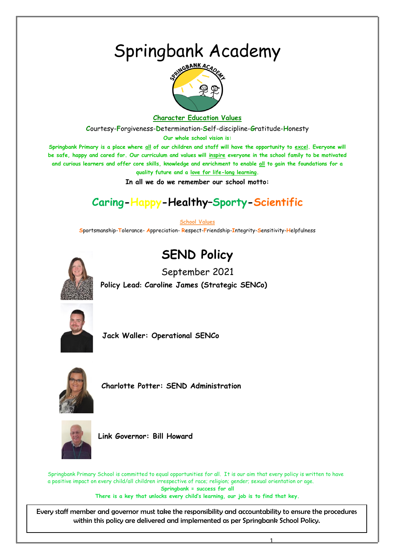# Springbank Academy



# **Character Education Values**

**C**ourtesy-**F**orgiveness-**D**etermination-**S**elf-discipline-**G**ratitude-**H**onesty

**Our whole school vision is:**

**Springbank Primary is a place where all of our children and staff will have the opportunity to excel. Everyone will be safe, happy and cared for. Our curriculum and values will inspire everyone in the school family to be motivated and curious learners and offer core skills, knowledge and enrichment to enable all to gain the foundations for a quality future and a love for life-long learning.**

**In all we do we remember our school motto:**

# **Caring-Happy-Healthy–Sporty-Scientific**

#### **School Values**

**S**portsmanship-**T**olerance- **A**ppreciation- **R**espect-**F**riendship-**I**ntegrity-**S**ensitivity-**H**elpfulness

# **SEND Policy**

September 2021



**Policy Lead: Caroline James (Strategic SENCo)**



**Jack Waller: Operational SENCo**



 **Charlotte Potter: SEND Administration**



 **Link Governor: Bill Howard**

Springbank Primary School is committed to equal opportunities for all. It is our aim that every policy is written to have a positive impact on every child/all children irrespective of race; religion; gender; sexual orientation or age. **Springbank = success for all There is a key that unlocks every child's learning, our job is to find that key.**

 Every staff member and governor must take the responsibility and accountability to ensure the procedures within this policy are delivered and implemented as per Springbank School Policy.

1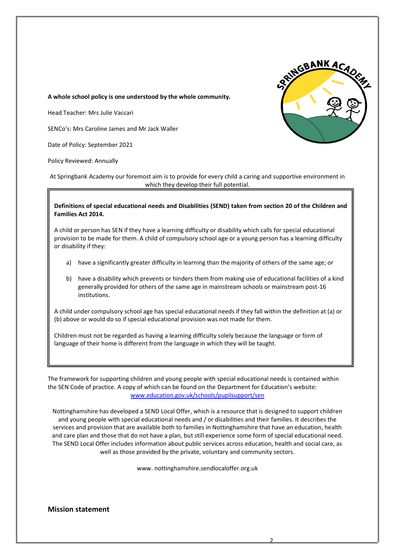

#### **A whole school policy is one understood by the whole community.**

Head Teacher: Mrs Julie Vaccari

SENCo's: Mrs Caroline James and Mr Jack Waller

Date of Policy: September 2021

Policy Reviewed: Annually

At Springbank Academy our foremost aim is to provide for every child a caring and supportive environment in which they develop their full potential.

#### **Definitions of special educational needs and Disabilities (SEND) taken from section 20 of the Children and Families Act 2014.**

A child or person has SEN if they have a learning difficulty or disability which calls for special educational provision to be made for them. A child of compulsory school age or a young person has a learning difficulty or disability if they:

- a) have a significantly greater difficulty in learning than the majority of others of the same age; or
- b) have a disability which prevents or hinders them from making use of educational facilities of a kind generally provided for others of the same age in mainstream schools or mainstream post-16 institutions.

A child under compulsory school age has special educational needs if they fall within the definition at (a) or (b) above or would do so if special educational provision was not made for them.

Children must not be regarded as having a learning difficulty solely because the language or form of language of their home is different from the language in which they will be taught.

The framework for supporting children and young people with special educational needs is contained within the SEN Code of practice. A copy of which can be found on the Department for Education's website: [www.education.gov.uk/schools/pupilsupport/sen](http://www.education.gov.uk/schools/pupilsupport/sen)

Nottinghamshire has developed a SEND Local Offer, which is a resource that is designed to support children and young people with special educational needs and / or disabilities and their families. It describes the services and provision that are available both to families in Nottinghamshire that have an education, health and care plan and those that do not have a plan, but still experience some form of special educational need. The SEND Local Offer includes information about public services across education, health and social care, as well as those provided by the private, voluntary and community sectors.

www. nottinghamshire.sendlocaloffer.org.uk

**Mission statement**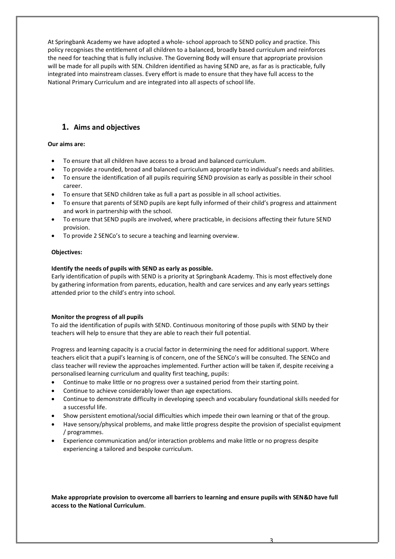At Springbank Academy we have adopted a whole- school approach to SEND policy and practice. This policy recognises the entitlement of all children to a balanced, broadly based curriculum and reinforces the need for teaching that is fully inclusive. The Governing Body will ensure that appropriate provision will be made for all pupils with SEN. Children identified as having SEND are, as far as is practicable, fully integrated into mainstream classes. Every effort is made to ensure that they have full access to the National Primary Curriculum and are integrated into all aspects of school life.

# **1. Aims and objectives**

#### **Our aims are:**

- To ensure that all children have access to a broad and balanced curriculum.
- To provide a rounded, broad and balanced curriculum appropriate to individual's needs and abilities.
- To ensure the identification of all pupils requiring SEND provision as early as possible in their school career.
- To ensure that SEND children take as full a part as possible in all school activities.
- To ensure that parents of SEND pupils are kept fully informed of their child's progress and attainment and work in partnership with the school.
- To ensure that SEND pupils are involved, where practicable, in decisions affecting their future SEND provision.
- To provide 2 SENCo's to secure a teaching and learning overview.

#### **Objectives:**

#### **Identify the needs of pupils with SEND as early as possible.**

Early identification of pupils with SEND is a priority at Springbank Academy. This is most effectively done by gathering information from parents, education, health and care services and any early years settings attended prior to the child's entry into school.

#### **Monitor the progress of all pupils**

To aid the identification of pupils with SEND. Continuous monitoring of those pupils with SEND by their teachers will help to ensure that they are able to reach their full potential.

Progress and learning capacity is a crucial factor in determining the need for additional support. Where teachers elicit that a pupil's learning is of concern, one of the SENCo's will be consulted. The SENCo and class teacher will review the approaches implemented. Further action will be taken if, despite receiving a personalised learning curriculum and quality first teaching, pupils:

- Continue to make little or no progress over a sustained period from their starting point.
- Continue to achieve considerably lower than age expectations.
- Continue to demonstrate difficulty in developing speech and vocabulary foundational skills needed for a successful life.
- Show persistent emotional/social difficulties which impede their own learning or that of the group.
- Have sensory/physical problems, and make little progress despite the provision of specialist equipment / programmes.
- Experience communication and/or interaction problems and make little or no progress despite experiencing a tailored and bespoke curriculum.

**Make appropriate provision to overcome all barriers to learning and ensure pupils with SEN&D have full access to the National Curriculum**.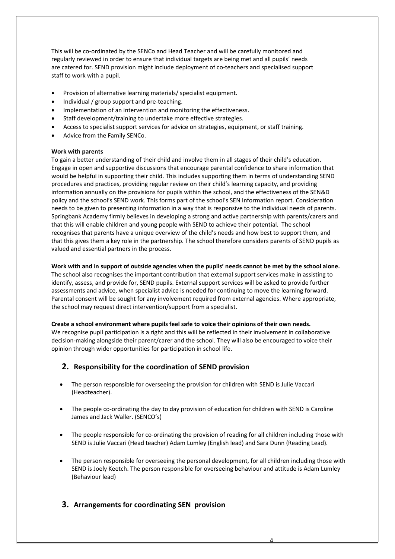This will be co-ordinated by the SENCo and Head Teacher and will be carefully monitored and regularly reviewed in order to ensure that individual targets are being met and all pupils' needs are catered for. SEND provision might include deployment of co-teachers and specialised support staff to work with a pupil.

- Provision of alternative learning materials/ specialist equipment.
- Individual / group support and pre-teaching.
- Implementation of an intervention and monitoring the effectiveness.
- Staff development/training to undertake more effective strategies.
- Access to specialist support services for advice on strategies, equipment, or staff training.
- Advice from the Family SENCo.

#### **Work with parents**

To gain a better understanding of their child and involve them in all stages of their child's education. Engage in open and supportive discussions that encourage parental confidence to share information that would be helpful in supporting their child. This includes supporting them in terms of understanding SEND procedures and practices, providing regular review on their child's learning capacity, and providing information annually on the provisions for pupils within the school, and the effectiveness of the SEN&D policy and the school's SEND work. This forms part of the school's SEN Information report. Consideration needs to be given to presenting information in a way that is responsive to the individual needs of parents. Springbank Academy firmly believes in developing a strong and active partnership with parents/carers and that this will enable children and young people with SEND to achieve their potential. The school recognises that parents have a unique overview of the child's needs and how best to support them, and that this gives them a key role in the partnership. The school therefore considers parents of SEND pupils as valued and essential partners in the process.

#### **Work with and in support of outside agencies when the pupils' needs cannot be met by the school alone.**

The school also recognises the important contribution that external support services make in assisting to identify, assess, and provide for, SEND pupils. External support services will be asked to provide further assessments and advice, when specialist advice is needed for continuing to move the learning forward. Parental consent will be sought for any involvement required from external agencies. Where appropriate, the school may request direct intervention/support from a specialist.

#### **Create a school environment where pupils feel safe to voice their opinions of their own needs.**

We recognise pupil participation is a right and this will be reflected in their involvement in collaborative decision-making alongside their parent/carer and the school. They will also be encouraged to voice their opinion through wider opportunities for participation in school life.

# **2. Responsibility for the coordination of SEND provision**

- The person responsible for overseeing the provision for children with SEND is Julie Vaccari (Headteacher).
- The people co-ordinating the day to day provision of education for children with SEND is Caroline James and Jack Waller. (SENCO's)
- The people responsible for co-ordinating the provision of reading for all children including those with SEND is Julie Vaccari (Head teacher) Adam Lumley (English lead) and Sara Dunn (Reading Lead).
- The person responsible for overseeing the personal development, for all children including those with SEND is Joely Keetch. The person responsible for overseeing behaviour and attitude is Adam Lumley (Behaviour lead)

4

# **3. Arrangements for coordinating SEN provision**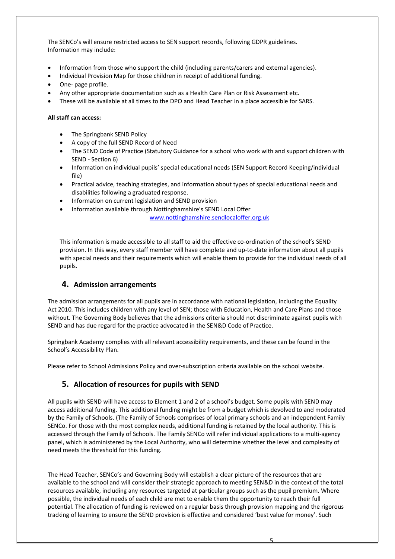The SENCo's will ensure restricted access to SEN support records, following GDPR guidelines. Information may include:

- Information from those who support the child (including parents/carers and external agencies).
- Individual Provision Map for those children in receipt of additional funding.
- One- page profile.
- Any other appropriate documentation such as a Health Care Plan or Risk Assessment etc.
- These will be available at all times to the DPO and Head Teacher in a place accessible for SARS.

#### **All staff can access:**

- The Springbank SEND Policy
- A copy of the full SEND Record of Need
- The SEND Code of Practice (Statutory Guidance for a school who work with and support children with SEND - Section 6)
- Information on individual pupils' special educational needs (SEN Support Record Keeping/individual file)
- Practical advice, teaching strategies, and information about types of special educational needs and disabilities following a graduated response.
- Information on current legislation and SEND provision
- Information available through Nottinghamshire's SEND Local Offer

[www.nottinghamshire.sendlocaloffer.org.uk](http://www.nottinghamshire.sendlocaloffer.org.uk/)

This information is made accessible to all staff to aid the effective co-ordination of the school's SEND provision. In this way, every staff member will have complete and up-to-date information about all pupils with special needs and their requirements which will enable them to provide for the individual needs of all pupils.

# **4. Admission arrangements**

The admission arrangements for all pupils are in accordance with national legislation, including the Equality Act 2010*.* This includes children with any level of SEN; those with Education, Health and Care Plans and those without. The Governing Body believes that the admissions criteria should not discriminate against pupils with SEND and has due regard for the practice advocated in the SEN&D Code of Practice.

Springbank Academy complies with all relevant accessibility requirements, and these can be found in the School's Accessibility Plan.

Please refer to School Admissions Policy and over-subscription criteria available on the school website.

# **5. Allocation of resources for pupils with SEND**

All pupils with SEND will have access to Element 1 and 2 of a school's budget. Some pupils with SEND may access additional funding. This additional funding might be from a budget which is devolved to and moderated by the Family of Schools. (The Family of Schools comprises of local primary schools and an independent Family SENCo. For those with the most complex needs, additional funding is retained by the local authority. This is accessed through the Family of Schools. The Family SENCo will refer individual applications to a multi-agency panel, which is administered by the Local Authority, who will determine whether the level and complexity of need meets the threshold for this funding.

The Head Teacher, SENCo's and Governing Body will establish a clear picture of the resources that are available to the school and will consider their strategic approach to meeting SEN&D in the context of the total resources available, including any resources targeted at particular groups such as the pupil premium. Where possible, the individual needs of each child are met to enable them the opportunity to reach their full potential. The allocation of funding is reviewed on a regular basis through provision mapping and the rigorous tracking of learning to ensure the SEND provision is effective and considered 'best value for money'. Such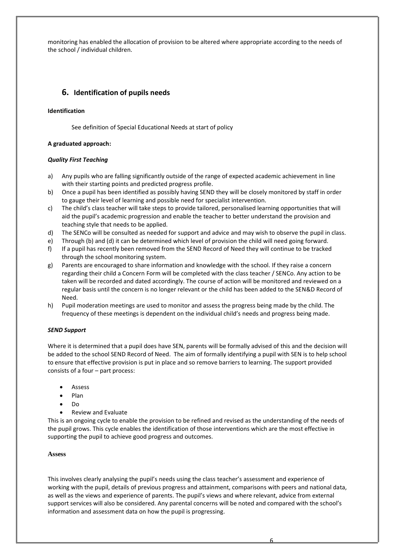monitoring has enabled the allocation of provision to be altered where appropriate according to the needs of the school / individual children.

# **6. Identification of pupils needs**

#### **Identification**

See definition of Special Educational Needs at start of policy

#### **A graduated approach:**

#### *Quality First Teaching*

- a) Any pupils who are falling significantly outside of the range of expected academic achievement in line with their starting points and predicted progress profile.
- b) Once a pupil has been identified as possibly having SEND they will be closely monitored by staff in order to gauge their level of learning and possible need for specialist intervention.
- c) The child's class teacher will take steps to provide tailored, personalised learning opportunities that will aid the pupil's academic progression and enable the teacher to better understand the provision and teaching style that needs to be applied.
- d) The SENCo will be consulted as needed for support and advice and may wish to observe the pupil in class.
- e) Through (b) and (d) it can be determined which level of provision the child will need going forward.
- f) If a pupil has recently been removed from the SEND Record of Need they will continue to be tracked through the school monitoring system.
- g) Parents are encouraged to share information and knowledge with the school. If they raise a concern regarding their child a Concern Form will be completed with the class teacher / SENCo. Any action to be taken will be recorded and dated accordingly. The course of action will be monitored and reviewed on a regular basis until the concern is no longer relevant or the child has been added to the SEN&D Record of Need.
- h) Pupil moderation meetings are used to monitor and assess the progress being made by the child. The frequency of these meetings is dependent on the individual child's needs and progress being made.

#### *SEND Support*

Where it is determined that a pupil does have SEN, parents will be formally advised of this and the decision will be added to the school SEND Record of Need. The aim of formally identifying a pupil with SEN is to help school to ensure that effective provision is put in place and so remove barriers to learning. The support provided consists of a four – part process:

- **Assess**
- Plan
- Do
- Review and Evaluate

This is an ongoing cycle to enable the provision to be refined and revised as the understanding of the needs of the pupil grows. This cycle enables the identification of those interventions which are the most effective in supporting the pupil to achieve good progress and outcomes.

# **Assess**

This involves clearly analysing the pupil's needs using the class teacher's assessment and experience of working with the pupil, details of previous progress and attainment, comparisons with peers and national data, as well as the views and experience of parents. The pupil's views and where relevant, advice from external support services will also be considered. Any parental concerns will be noted and compared with the school's information and assessment data on how the pupil is progressing.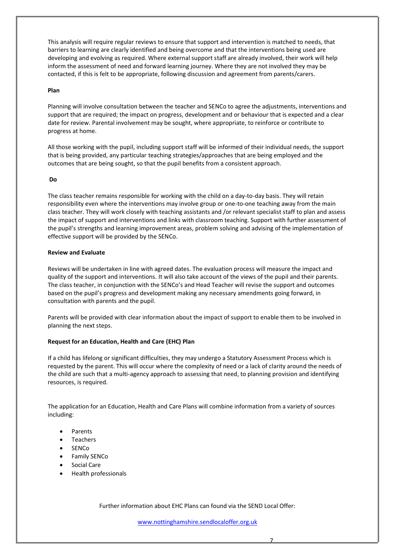This analysis will require regular reviews to ensure that support and intervention is matched to needs, that barriers to learning are clearly identified and being overcome and that the interventions being used are developing and evolving as required. Where external support staff are already involved, their work will help inform the assessment of need and forward learning journey. Where they are not involved they may be contacted, if this is felt to be appropriate, following discussion and agreement from parents/carers.

#### **Plan**

Planning will involve consultation between the teacher and SENCo to agree the adjustments, interventions and support that are required; the impact on progress, development and or behaviour that is expected and a clear date for review. Parental involvement may be sought, where appropriate, to reinforce or contribute to progress at home.

All those working with the pupil, including support staff will be informed of their individual needs, the support that is being provided, any particular teaching strategies/approaches that are being employed and the outcomes that are being sought, so that the pupil benefits from a consistent approach.

#### **Do**

The class teacher remains responsible for working with the child on a day-to-day basis. They will retain responsibility even where the interventions may involve group or one-to-one teaching away from the main class teacher. They will work closely with teaching assistants and /or relevant specialist staff to plan and assess the impact of support and interventions and links with classroom teaching. Support with further assessment of the pupil's strengths and learning improvement areas, problem solving and advising of the implementation of effective support will be provided by the SENCo.

#### **Review and Evaluate**

Reviews will be undertaken in line with agreed dates. The evaluation process will measure the impact and quality of the support and interventions. It will also take account of the views of the pupil and their parents. The class teacher, in conjunction with the SENCo's and Head Teacher will revise the support and outcomes based on the pupil's progress and development making any necessary amendments going forward, in consultation with parents and the pupil.

Parents will be provided with clear information about the impact of support to enable them to be involved in planning the next steps.

#### **Request for an Education, Health and Care (EHC) Plan**

If a child has lifelong or significant difficulties, they may undergo a Statutory Assessment Process which is requested by the parent. This will occur where the complexity of need or a lack of clarity around the needs of the child are such that a multi-agency approach to assessing that need, to planning provision and identifying resources, is required.

The application for an Education, Health and Care Plans will combine information from a variety of sources including:

- Parents
- **Teachers**
- SENCo
- Family SENCo
- Social Care
- Health professionals

Further information about EHC Plans can found via the SEND Local Offer:

[www.nottinghamshire.sendlocaloffer.org.uk](http://www.nottinghamshire.sendlocaloffer.org.uk/)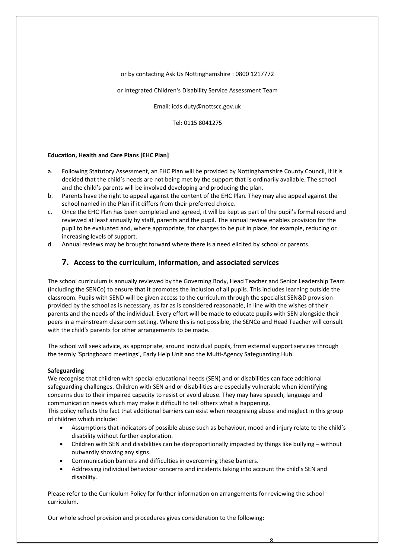#### or by contacting Ask Us Nottinghamshire : 0800 1217772

#### or Integrated Children's Disability Service Assessment Team

Email: icds.duty@nottscc.gov.uk

Tel: 0115 8041275

#### **Education, Health and Care Plans [EHC Plan]**

- a. Following Statutory Assessment, an EHC Plan will be provided by Nottinghamshire County Council, if it is decided that the child's needs are not being met by the support that is ordinarily available. The school and the child's parents will be involved developing and producing the plan.
- b. Parents have the right to appeal against the content of the EHC Plan. They may also appeal against the school named in the Plan if it differs from their preferred choice.
- c. Once the EHC Plan has been completed and agreed, it will be kept as part of the pupil's formal record and reviewed at least annually by staff, parents and the pupil. The annual review enables provision for the pupil to be evaluated and, where appropriate, for changes to be put in place, for example, reducing or increasing levels of support.
- d. Annual reviews may be brought forward where there is a need elicited by school or parents.

# **7. Access to the curriculum, information, and associated services**

The school curriculum is annually reviewed by the Governing Body, Head Teacher and Senior Leadership Team (including the SENCo) to ensure that it promotes the inclusion of all pupils. This includes learning outside the classroom. Pupils with SEND will be given access to the curriculum through the specialist SEN&D provision provided by the school as is necessary, as far as is considered reasonable, in line with the wishes of their parents and the needs of the individual. Every effort will be made to educate pupils with SEN alongside their peers in a mainstream classroom setting. Where this is not possible, the SENCo and Head Teacher will consult with the child's parents for other arrangements to be made.

The school will seek advice, as appropriate, around individual pupils, from external support services through the termly 'Springboard meetings', Early Help Unit and the Multi-Agency Safeguarding Hub.

#### **Safeguarding**

We recognise that children with special educational needs (SEN) and or disabilities can face additional safeguarding challenges. Children with SEN and or disabilities are especially vulnerable when identifying concerns due to their impaired capacity to resist or avoid abuse. They may have speech, language and communication needs which may make it difficult to tell others what is happening.

This policy reflects the fact that additional barriers can exist when recognising abuse and neglect in this group of children which include:

- Assumptions that indicators of possible abuse such as behaviour, mood and injury relate to the child's disability without further exploration.
- Children with SEN and disabilities can be disproportionally impacted by things like bullying without outwardly showing any signs.
- Communication barriers and difficulties in overcoming these barriers.
- Addressing individual behaviour concerns and incidents taking into account the child's SEN and disability.

Please refer to the Curriculum Policy for further information on arrangements for reviewing the school curriculum.

Our whole school provision and procedures gives consideration to the following:

8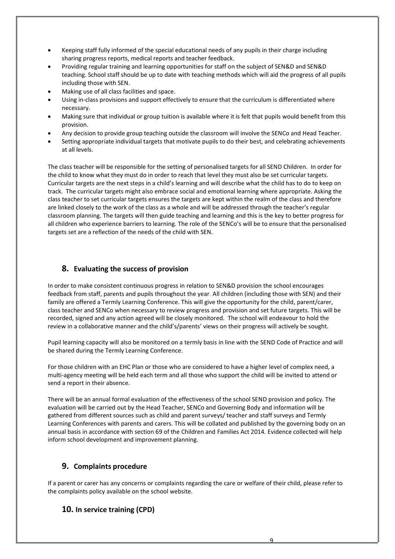- Keeping staff fully informed of the special educational needs of any pupils in their charge including sharing progress reports, medical reports and teacher feedback.
- Providing regular training and learning opportunities for staff on the subject of SEN&D and SEN&D teaching. School staff should be up to date with teaching methods which will aid the progress of all pupils including those with SEN.
- Making use of all class facilities and space.
- Using in-class provisions and support effectively to ensure that the curriculum is differentiated where necessary.
- Making sure that individual or group tuition is available where it is felt that pupils would benefit from this provision.
- Any decision to provide group teaching outside the classroom will involve the SENCo and Head Teacher.
- Setting appropriate individual targets that motivate pupils to do their best, and celebrating achievements at all levels.

The class teacher will be responsible for the setting of personalised targets for all SEND Children. In order for the child to know what they must do in order to reach that level they must also be set curricular targets. Curricular targets are the next steps in a child's learning and will describe what the child has to do to keep on track. The curricular targets might also embrace social and emotional learning where appropriate. Asking the class teacher to set curricular targets ensures the targets are kept within the realm of the class and therefore are linked closely to the work of the class as a whole and will be addressed through the teacher's regular classroom planning. The targets will then guide teaching and learning and this is the key to better progress for all children who experience barriers to learning. The role of the SENCo's will be to ensure that the personalised targets set are a reflection of the needs of the child with SEN.

# **8. Evaluating the success of provision**

In order to make consistent continuous progress in relation to SEN&D provision the school encourages feedback from staff, parents and pupils throughout the year. All children (including those with SEN) and their family are offered a Termly Learning Conference. This will give the opportunity for the child, parent/carer, class teacher and SENCo when necessary to review progress and provision and set future targets. This will be recorded, signed and any action agreed will be closely monitored. The school will endeavour to hold the review in a collaborative manner and the child's/parents' views on their progress will actively be sought.

Pupil learning capacity will also be monitored on a termly basis in line with the SEND Code of Practice and will be shared during the Termly Learning Conference.

For those children with an EHC Plan or those who are considered to have a higher level of complex need, a multi-agency meeting will be held each term and all those who support the child will be invited to attend or send a report in their absence.

There will be an annual formal evaluation of the effectiveness of the school SEND provision and policy. The evaluation will be carried out by the Head Teacher, SENCo and Governing Body and information will be gathered from different sources such as child and parent surveys/ teacher and staff surveys and Termly Learning Conferences with parents and carers. This will be collated and published by the governing body on an annual basis in accordance with section 69 of the Children and Families Act 2014. Evidence collected will help inform school development and improvement planning.

# **9. Complaints procedure**

If a parent or carer has any concerns or complaints regarding the care or welfare of their child, please refer to the complaints policy available on the school website.

# **10. In service training (CPD)**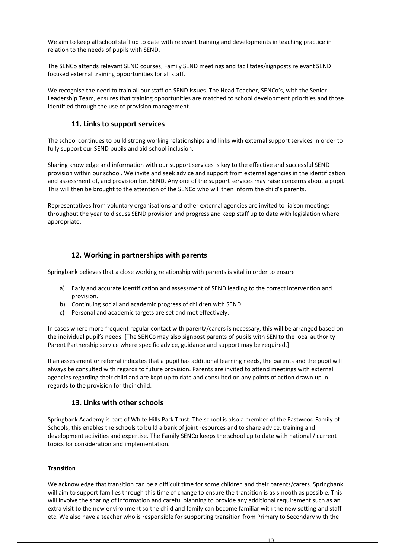We aim to keep all school staff up to date with relevant training and developments in teaching practice in relation to the needs of pupils with SEND.

The SENCo attends relevant SEND courses, Family SEND meetings and facilitates/signposts relevant SEND focused external training opportunities for all staff.

We recognise the need to train all our staff on SEND issues. The Head Teacher, SENCo's, with the Senior Leadership Team, ensures that training opportunities are matched to school development priorities and those identified through the use of provision management.

# **11. Links to support services**

The school continues to build strong working relationships and links with external support services in order to fully support our SEND pupils and aid school inclusion.

Sharing knowledge and information with our support services is key to the effective and successful SEND provision within our school. We invite and seek advice and support from external agencies in the identification and assessment of, and provision for, SEND. Any one of the support services may raise concerns about a pupil. This will then be brought to the attention of the SENCo who will then inform the child's parents.

Representatives from voluntary organisations and other external agencies are invited to liaison meetings throughout the year to discuss SEND provision and progress and keep staff up to date with legislation where appropriate.

# **12. Working in partnerships with parents**

Springbank believes that a close working relationship with parents is vital in order to ensure

- a) Early and accurate identification and assessment of SEND leading to the correct intervention and provision.
- b) Continuing social and academic progress of children with SEND.
- c) Personal and academic targets are set and met effectively.

In cases where more frequent regular contact with parent//carers is necessary, this will be arranged based on the individual pupil's needs. [The SENCo may also signpost parents of pupils with SEN to the local authority Parent Partnership service where specific advice, guidance and support may be required.]

If an assessment or referral indicates that a pupil has additional learning needs, the parents and the pupil will always be consulted with regards to future provision. Parents are invited to attend meetings with external agencies regarding their child and are kept up to date and consulted on any points of action drawn up in regards to the provision for their child.

# **13. Links with other schools**

Springbank Academy is part of White Hills Park Trust. The school is also a member of the Eastwood Family of Schools; this enables the schools to build a bank of joint resources and to share advice, training and development activities and expertise. The Family SENCo keeps the school up to date with national / current topics for consideration and implementation.

#### **Transition**

We acknowledge that transition can be a difficult time for some children and their parents/carers. Springbank will aim to support families through this time of change to ensure the transition is as smooth as possible. This will involve the sharing of information and careful planning to provide any additional requirement such as an extra visit to the new environment so the child and family can become familiar with the new setting and staff etc. We also have a teacher who is responsible for supporting transition from Primary to Secondary with the